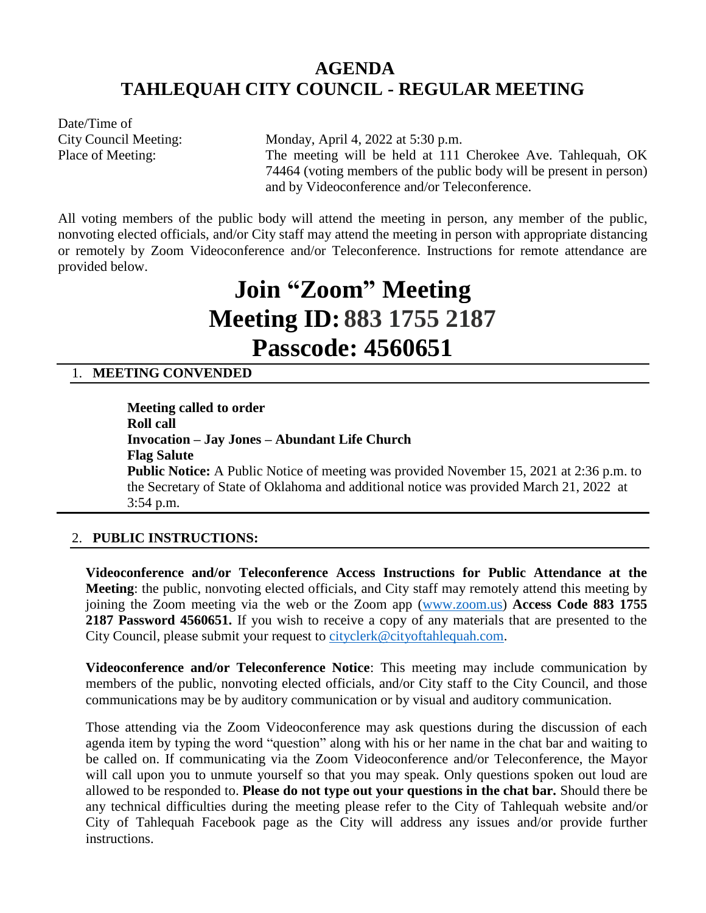# **AGENDA TAHLEQUAH CITY COUNCIL - REGULAR MEETING**

Date/Time of

City Council Meeting: Monday, April 4, 2022 at 5:30 p.m. Place of Meeting: The meeting will be held at 111 Cherokee Ave. Tahlequah, OK 74464 (voting members of the public body will be present in person) and by Videoconference and/or Teleconference.

All voting members of the public body will attend the meeting in person, any member of the public, nonvoting elected officials, and/or City staff may attend the meeting in person with appropriate distancing or remotely by Zoom Videoconference and/or Teleconference. Instructions for remote attendance are provided below.

# **Join "Zoom" Meeting Meeting ID: 883 1755 2187 Passcode: 4560651**

# 1. **MEETING CONVENDED**

**Meeting called to order Roll call Invocation – Jay Jones – Abundant Life Church Flag Salute Public Notice:** A Public Notice of meeting was provided November 15, 2021 at 2:36 p.m. to the Secretary of State of Oklahoma and additional notice was provided March 21, 2022 at 3:54 p.m.

# 2. **PUBLIC INSTRUCTIONS:**

**Videoconference and/or Teleconference Access Instructions for Public Attendance at the Meeting**: the public, nonvoting elected officials, and City staff may remotely attend this meeting by joining the Zoom meeting via the web or the Zoom app [\(www.zoom.us\)](http://www.zoom.us/) **Access Code 883 1755 2187 Password 4560651.** If you wish to receive a copy of any materials that are presented to the City Council, please submit your request to [cityclerk@cityoftahlequah.com.](mailto:cityclerk@cityoftahlequah.com)

**Videoconference and/or Teleconference Notice**: This meeting may include communication by members of the public, nonvoting elected officials, and/or City staff to the City Council, and those communications may be by auditory communication or by visual and auditory communication.

Those attending via the Zoom Videoconference may ask questions during the discussion of each agenda item by typing the word "question" along with his or her name in the chat bar and waiting to be called on. If communicating via the Zoom Videoconference and/or Teleconference, the Mayor will call upon you to unmute yourself so that you may speak. Only questions spoken out loud are allowed to be responded to. **Please do not type out your questions in the chat bar.** Should there be any technical difficulties during the meeting please refer to the City of Tahlequah website and/or City of Tahlequah Facebook page as the City will address any issues and/or provide further instructions.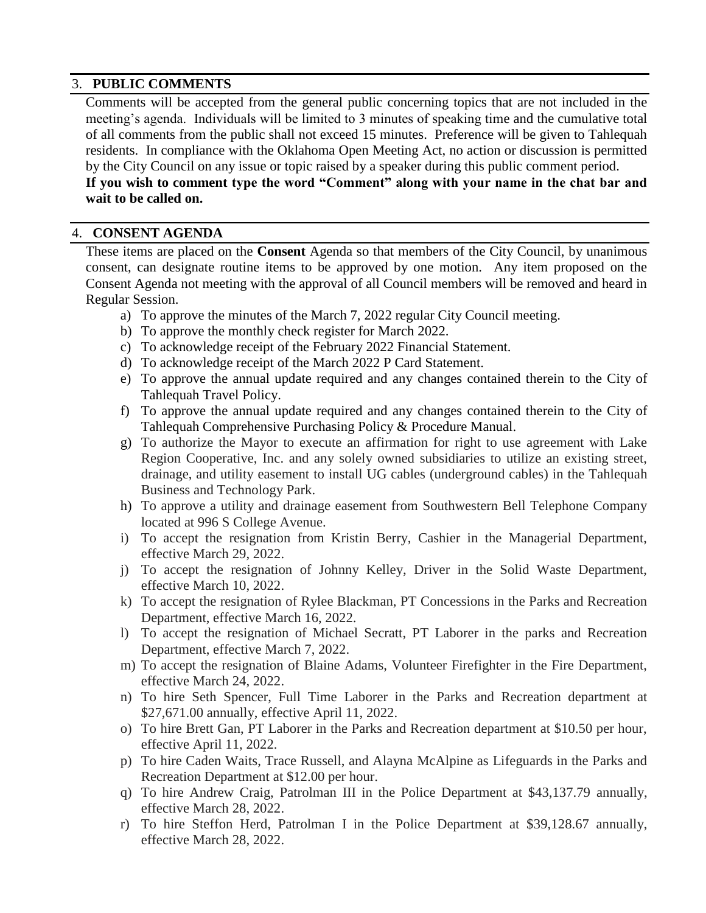#### 3. **PUBLIC COMMENTS**

Comments will be accepted from the general public concerning topics that are not included in the meeting's agenda. Individuals will be limited to 3 minutes of speaking time and the cumulative total of all comments from the public shall not exceed 15 minutes. Preference will be given to Tahlequah residents. In compliance with the Oklahoma Open Meeting Act, no action or discussion is permitted by the City Council on any issue or topic raised by a speaker during this public comment period.

# **If you wish to comment type the word "Comment" along with your name in the chat bar and wait to be called on.**

#### 4. **CONSENT AGENDA**

These items are placed on the **Consent** Agenda so that members of the City Council, by unanimous consent, can designate routine items to be approved by one motion. Any item proposed on the Consent Agenda not meeting with the approval of all Council members will be removed and heard in Regular Session.

- a) To approve the minutes of the March 7, 2022 regular City Council meeting.
- b) To approve the monthly check register for March 2022.
- c) To acknowledge receipt of the February 2022 Financial Statement.
- d) To acknowledge receipt of the March 2022 P Card Statement.
- e) To approve the annual update required and any changes contained therein to the City of Tahlequah Travel Policy.
- f) To approve the annual update required and any changes contained therein to the City of Tahlequah Comprehensive Purchasing Policy & Procedure Manual.
- g) To authorize the Mayor to execute an affirmation for right to use agreement with Lake Region Cooperative, Inc. and any solely owned subsidiaries to utilize an existing street, drainage, and utility easement to install UG cables (underground cables) in the Tahlequah Business and Technology Park.
- h) To approve a utility and drainage easement from Southwestern Bell Telephone Company located at 996 S College Avenue.
- i) To accept the resignation from Kristin Berry, Cashier in the Managerial Department, effective March 29, 2022.
- j) To accept the resignation of Johnny Kelley, Driver in the Solid Waste Department, effective March 10, 2022.
- k) To accept the resignation of Rylee Blackman, PT Concessions in the Parks and Recreation Department, effective March 16, 2022.
- l) To accept the resignation of Michael Secratt, PT Laborer in the parks and Recreation Department, effective March 7, 2022.
- m) To accept the resignation of Blaine Adams, Volunteer Firefighter in the Fire Department, effective March 24, 2022.
- n) To hire Seth Spencer, Full Time Laborer in the Parks and Recreation department at \$27,671.00 annually, effective April 11, 2022.
- o) To hire Brett Gan, PT Laborer in the Parks and Recreation department at \$10.50 per hour, effective April 11, 2022.
- p) To hire Caden Waits, Trace Russell, and Alayna McAlpine as Lifeguards in the Parks and Recreation Department at \$12.00 per hour.
- q) To hire Andrew Craig, Patrolman III in the Police Department at \$43,137.79 annually, effective March 28, 2022.
- r) To hire Steffon Herd, Patrolman I in the Police Department at \$39,128.67 annually, effective March 28, 2022.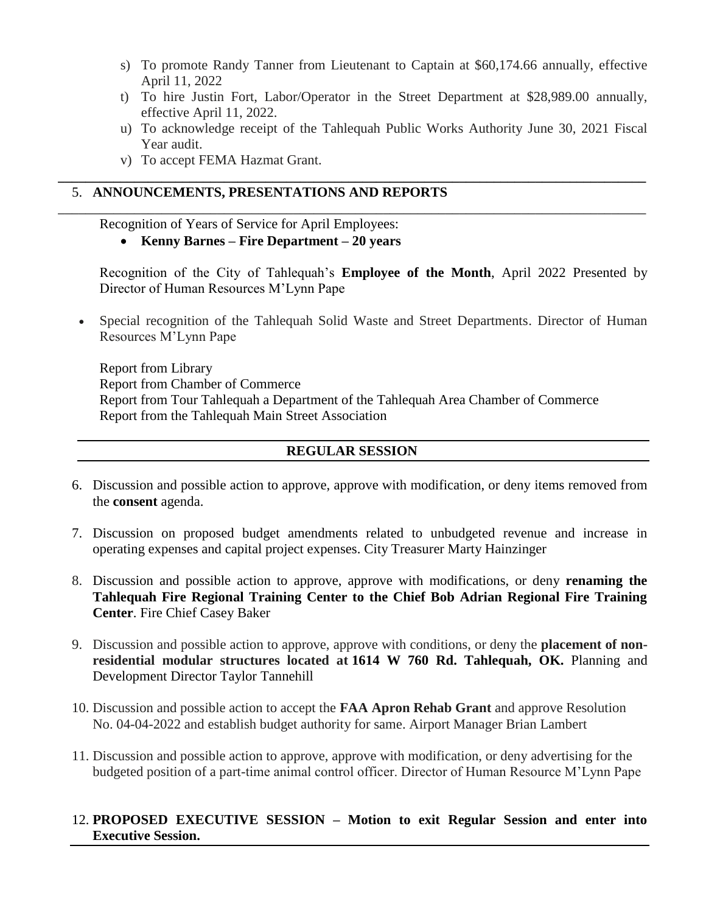- s) To promote Randy Tanner from Lieutenant to Captain at \$60,174.66 annually, effective April 11, 2022
- t) To hire Justin Fort, Labor/Operator in the Street Department at \$28,989.00 annually, effective April 11, 2022.
- u) To acknowledge receipt of the Tahlequah Public Works Authority June 30, 2021 Fiscal Year audit.

**\_\_\_\_\_\_\_\_\_\_\_\_\_\_\_\_\_\_\_\_\_\_\_\_\_\_\_\_\_\_\_\_\_\_\_\_\_\_\_\_\_\_\_\_\_\_\_\_\_\_\_\_\_\_\_\_\_\_\_\_\_\_\_\_\_\_\_\_\_\_\_\_\_\_\_\_\_\_\_\_\_\_\_\_\_**

\_\_\_\_\_\_\_\_\_\_\_\_\_\_\_\_\_\_\_\_\_\_\_\_\_\_\_\_\_\_\_\_\_\_\_\_\_\_\_\_\_\_\_\_\_\_\_\_\_\_\_\_\_\_\_\_\_\_\_\_\_\_\_\_\_\_\_\_\_\_\_\_\_\_\_\_\_\_\_\_\_\_\_\_\_

v) To accept FEMA Hazmat Grant.

## 5. **ANNOUNCEMENTS, PRESENTATIONS AND REPORTS**

#### Recognition of Years of Service for April Employees:

**Kenny Barnes – Fire Department – 20 years**

Recognition of the City of Tahlequah's **Employee of the Month**, April 2022 Presented by Director of Human Resources M'Lynn Pape

 Special recognition of the Tahlequah Solid Waste and Street Departments. Director of Human Resources M'Lynn Pape

Report from Library Report from Chamber of Commerce Report from Tour Tahlequah a Department of the Tahlequah Area Chamber of Commerce Report from the Tahlequah Main Street Association

### **REGULAR SESSION**

- 6. Discussion and possible action to approve, approve with modification, or deny items removed from the **consent** agenda.
- 7. Discussion on proposed budget amendments related to unbudgeted revenue and increase in operating expenses and capital project expenses. City Treasurer Marty Hainzinger
- 8. Discussion and possible action to approve, approve with modifications, or deny **renaming the Tahlequah Fire Regional Training Center to the Chief Bob Adrian Regional Fire Training Center**. Fire Chief Casey Baker
- 9. Discussion and possible action to approve, approve with conditions, or deny the **placement of nonresidential modular structures located at 1614 W 760 Rd. Tahlequah, OK.** Planning and Development Director Taylor Tannehill
- 10. Discussion and possible action to accept the **FAA Apron Rehab Grant** and approve Resolution No. 04-04-2022 and establish budget authority for same. Airport Manager Brian Lambert
- 11. Discussion and possible action to approve, approve with modification, or deny advertising for the budgeted position of a part-time animal control officer. Director of Human Resource M'Lynn Pape

#### 12. **PROPOSED EXECUTIVE SESSION – Motion to exit Regular Session and enter into Executive Session.**